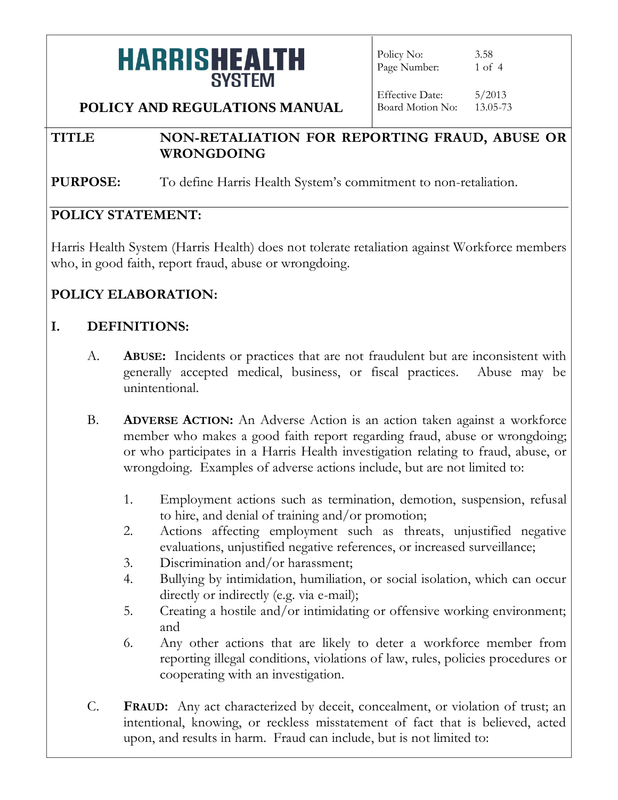Policy No: 3.58 Page Number: 1 of 4

**POLICY AND REGULATIONS MANUAL**

Effective Date: 5/2013 Board Motion No: 13.05-73

#### **TITLE NON-RETALIATION FOR REPORTING FRAUD, ABUSE OR WRONGDOING**

**PURPOSE:** To define Harris Health System's commitment to non-retaliation.

### **POLICY STATEMENT:**

Harris Health System (Harris Health) does not tolerate retaliation against Workforce members who, in good faith, report fraud, abuse or wrongdoing.

### **POLICY ELABORATION:**

### **I. DEFINITIONS:**

- A. **ABUSE:** Incidents or practices that are not fraudulent but are inconsistent with generally accepted medical, business, or fiscal practices. Abuse may be unintentional.
- B. **ADVERSE ACTION:** An Adverse Action is an action taken against a workforce member who makes a good faith report regarding fraud, abuse or wrongdoing; or who participates in a Harris Health investigation relating to fraud, abuse, or wrongdoing. Examples of adverse actions include, but are not limited to:
	- 1. Employment actions such as termination, demotion, suspension, refusal to hire, and denial of training and/or promotion;
	- 2. Actions affecting employment such as threats, unjustified negative evaluations, unjustified negative references, or increased surveillance;
	- 3. Discrimination and/or harassment;
	- 4. Bullying by intimidation, humiliation, or social isolation, which can occur directly or indirectly (e.g. via e-mail);
	- 5. Creating a hostile and/or intimidating or offensive working environment; and
	- 6. Any other actions that are likely to deter a workforce member from reporting illegal conditions, violations of law, rules, policies procedures or cooperating with an investigation.
- C. **FRAUD:** Any act characterized by deceit, concealment, or violation of trust; an intentional, knowing, or reckless misstatement of fact that is believed, acted upon, and results in harm. Fraud can include, but is not limited to: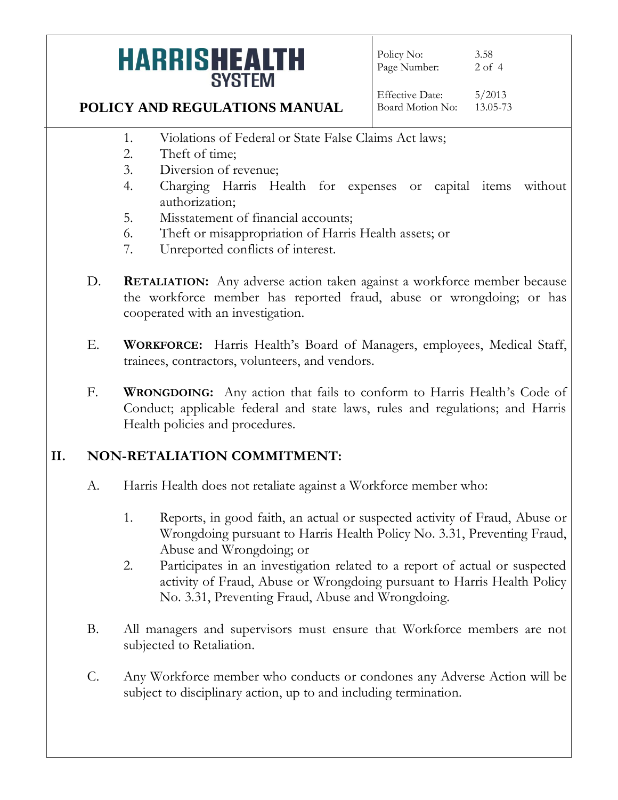Policy No: 3.58 Page Number: 2 of 4

**POLICY AND REGULATIONS MANUAL**

Effective Date: 5/2013 Board Motion No: 13.05-73

- 1. Violations of Federal or State False Claims Act laws;
- 2. Theft of time;
- 3. Diversion of revenue;
- 4. Charging Harris Health for expenses or capital items without authorization;
- 5. Misstatement of financial accounts;
- 6. Theft or misappropriation of Harris Health assets; or
- 7. Unreported conflicts of interest.
- D. **RETALIATION:** Any adverse action taken against a workforce member because the workforce member has reported fraud, abuse or wrongdoing; or has cooperated with an investigation.
- E. **WORKFORCE:** Harris Health's Board of Managers, employees, Medical Staff, trainees, contractors, volunteers, and vendors.
- F. **WRONGDOING:** Any action that fails to conform to Harris Health's Code of Conduct; applicable federal and state laws, rules and regulations; and Harris Health policies and procedures.

### **II. NON-RETALIATION COMMITMENT:**

- A. Harris Health does not retaliate against a Workforce member who:
	- 1. Reports, in good faith, an actual or suspected activity of Fraud, Abuse or Wrongdoing pursuant to Harris Health Policy No. 3.31, Preventing Fraud, Abuse and Wrongdoing; or
	- 2. Participates in an investigation related to a report of actual or suspected activity of Fraud, Abuse or Wrongdoing pursuant to Harris Health Policy No. 3.31, Preventing Fraud, Abuse and Wrongdoing.
- B. All managers and supervisors must ensure that Workforce members are not subjected to Retaliation.
- C. Any Workforce member who conducts or condones any Adverse Action will be subject to disciplinary action, up to and including termination.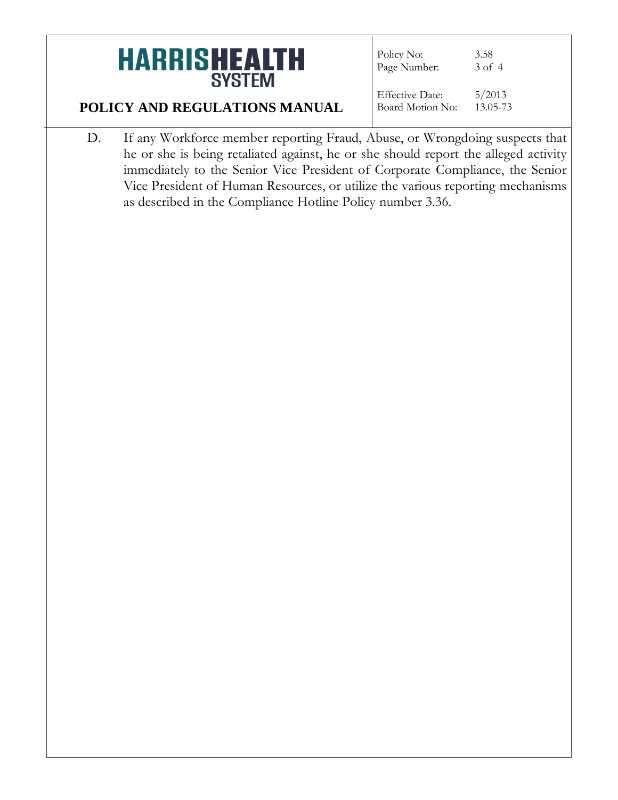Policy No: 3.58<br>Page Number: 3 of 4 Page Number:

### **POLICY AND REGULATIONS MANUAL**

Effective Date: 5/2013 Board Motion No: 13.05-73

D. If any Workforce member reporting Fraud, Abuse, or Wrongdoing suspects that he or she is being retaliated against, he or she should report the alleged activity immediately to the Senior Vice President of Corporate Compliance, the Senior Vice President of Human Resources, or utilize the various reporting mechanisms as described in the Compliance Hotline Policy number 3.36.